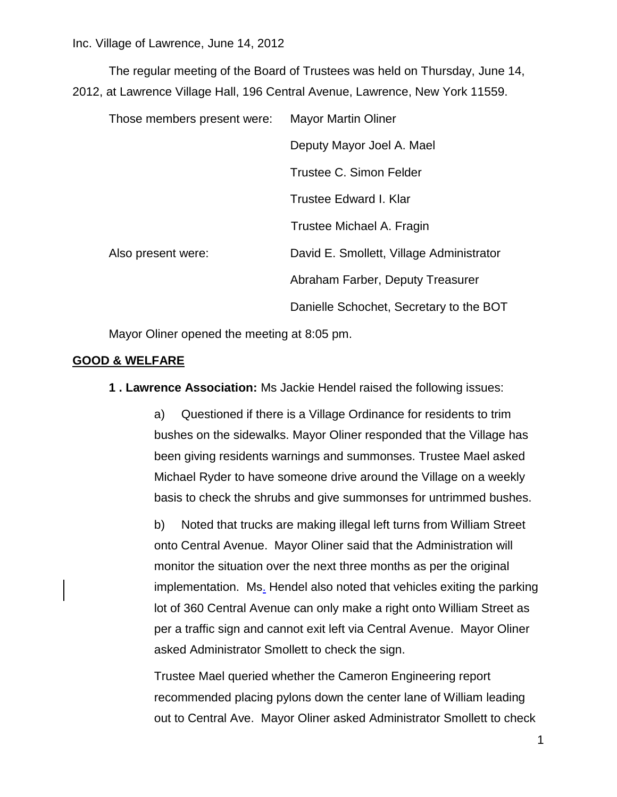The regular meeting of the Board of Trustees was held on Thursday, June 14, 2012, at Lawrence Village Hall, 196 Central Avenue, Lawrence, New York 11559.

| Those members present were: | <b>Mayor Martin Oliner</b>               |
|-----------------------------|------------------------------------------|
|                             | Deputy Mayor Joel A. Mael                |
|                             | Trustee C. Simon Felder                  |
|                             | Trustee Edward I. Klar                   |
|                             | Trustee Michael A. Fragin                |
| Also present were:          | David E. Smollett, Village Administrator |
|                             | Abraham Farber, Deputy Treasurer         |
|                             | Danielle Schochet, Secretary to the BOT  |

Mayor Oliner opened the meeting at 8:05 pm.

### **GOOD & WELFARE**

**1 . Lawrence Association:** Ms Jackie Hendel raised the following issues:

a) Questioned if there is a Village Ordinance for residents to trim bushes on the sidewalks. Mayor Oliner responded that the Village has been giving residents warnings and summonses. Trustee Mael asked Michael Ryder to have someone drive around the Village on a weekly basis to check the shrubs and give summonses for untrimmed bushes.

b) Noted that trucks are making illegal left turns from William Street onto Central Avenue. Mayor Oliner said that the Administration will monitor the situation over the next three months as per the original implementation. Ms. Hendel also noted that vehicles exiting the parking lot of 360 Central Avenue can only make a right onto William Street as per a traffic sign and cannot exit left via Central Avenue. Mayor Oliner asked Administrator Smollett to check the sign.

Trustee Mael queried whether the Cameron Engineering report recommended placing pylons down the center lane of William leading out to Central Ave. Mayor Oliner asked Administrator Smollett to check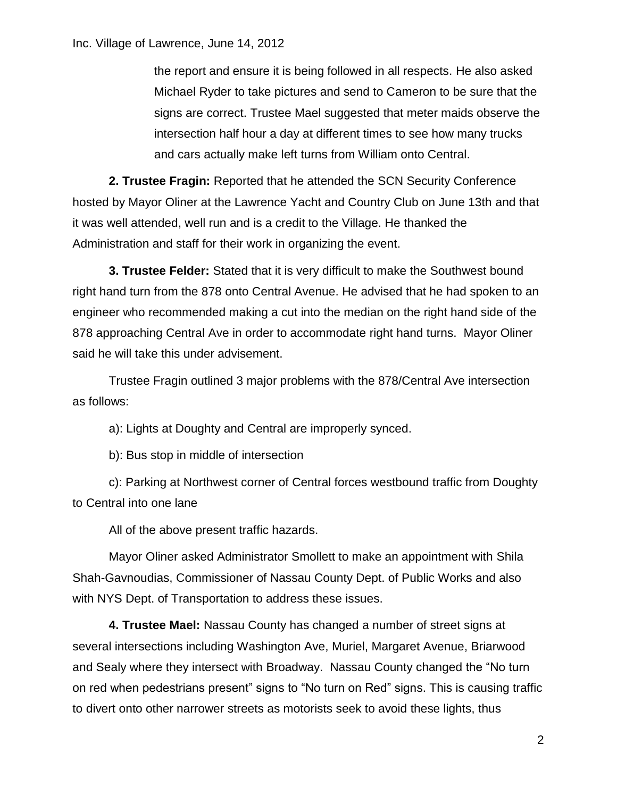the report and ensure it is being followed in all respects. He also asked Michael Ryder to take pictures and send to Cameron to be sure that the signs are correct. Trustee Mael suggested that meter maids observe the intersection half hour a day at different times to see how many trucks and cars actually make left turns from William onto Central.

**2. Trustee Fragin:** Reported that he attended the SCN Security Conference hosted by Mayor Oliner at the Lawrence Yacht and Country Club on June 13th and that it was well attended, well run and is a credit to the Village. He thanked the Administration and staff for their work in organizing the event.

**3. Trustee Felder:** Stated that it is very difficult to make the Southwest bound right hand turn from the 878 onto Central Avenue. He advised that he had spoken to an engineer who recommended making a cut into the median on the right hand side of the 878 approaching Central Ave in order to accommodate right hand turns. Mayor Oliner said he will take this under advisement.

Trustee Fragin outlined 3 major problems with the 878/Central Ave intersection as follows:

a): Lights at Doughty and Central are improperly synced.

b): Bus stop in middle of intersection

c): Parking at Northwest corner of Central forces westbound traffic from Doughty to Central into one lane

All of the above present traffic hazards.

Mayor Oliner asked Administrator Smollett to make an appointment with Shila Shah-Gavnoudias, Commissioner of Nassau County Dept. of Public Works and also with NYS Dept. of Transportation to address these issues.

**4. Trustee Mael:** Nassau County has changed a number of street signs at several intersections including Washington Ave, Muriel, Margaret Avenue, Briarwood and Sealy where they intersect with Broadway. Nassau County changed the "No turn on red when pedestrians present" signs to "No turn on Red" signs. This is causing traffic to divert onto other narrower streets as motorists seek to avoid these lights, thus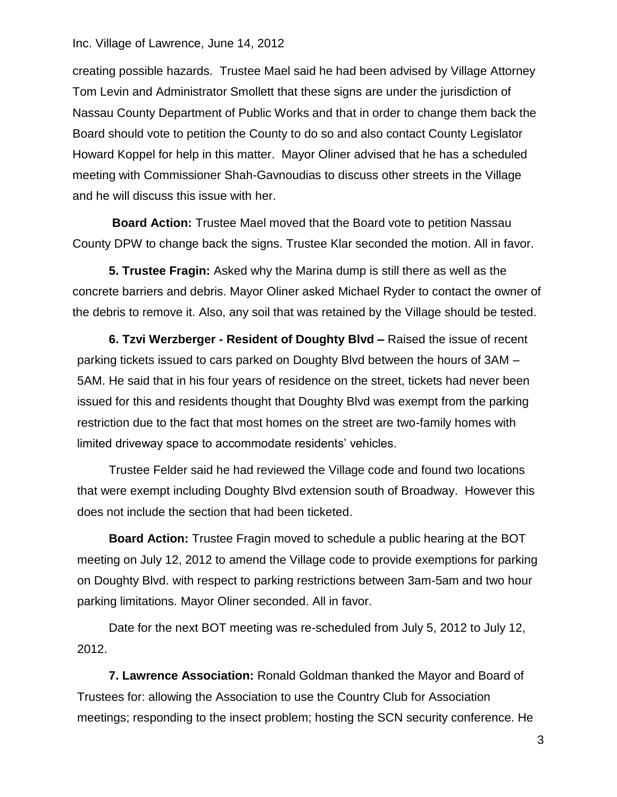creating possible hazards. Trustee Mael said he had been advised by Village Attorney Tom Levin and Administrator Smollett that these signs are under the jurisdiction of Nassau County Department of Public Works and that in order to change them back the Board should vote to petition the County to do so and also contact County Legislator Howard Koppel for help in this matter. Mayor Oliner advised that he has a scheduled meeting with Commissioner Shah-Gavnoudias to discuss other streets in the Village and he will discuss this issue with her.

**Board Action:** Trustee Mael moved that the Board vote to petition Nassau County DPW to change back the signs. Trustee Klar seconded the motion. All in favor.

**5. Trustee Fragin:** Asked why the Marina dump is still there as well as the concrete barriers and debris. Mayor Oliner asked Michael Ryder to contact the owner of the debris to remove it. Also, any soil that was retained by the Village should be tested.

**6. Tzvi Werzberger - Resident of Doughty Blvd –** Raised the issue of recent parking tickets issued to cars parked on Doughty Blvd between the hours of 3AM – 5AM. He said that in his four years of residence on the street, tickets had never been issued for this and residents thought that Doughty Blvd was exempt from the parking restriction due to the fact that most homes on the street are two-family homes with limited driveway space to accommodate residents' vehicles.

Trustee Felder said he had reviewed the Village code and found two locations that were exempt including Doughty Blvd extension south of Broadway. However this does not include the section that had been ticketed.

**Board Action:** Trustee Fragin moved to schedule a public hearing at the BOT meeting on July 12, 2012 to amend the Village code to provide exemptions for parking on Doughty Blvd. with respect to parking restrictions between 3am-5am and two hour parking limitations. Mayor Oliner seconded. All in favor.

Date for the next BOT meeting was re-scheduled from July 5, 2012 to July 12, 2012.

**7. Lawrence Association:** Ronald Goldman thanked the Mayor and Board of Trustees for: allowing the Association to use the Country Club for Association meetings; responding to the insect problem; hosting the SCN security conference. He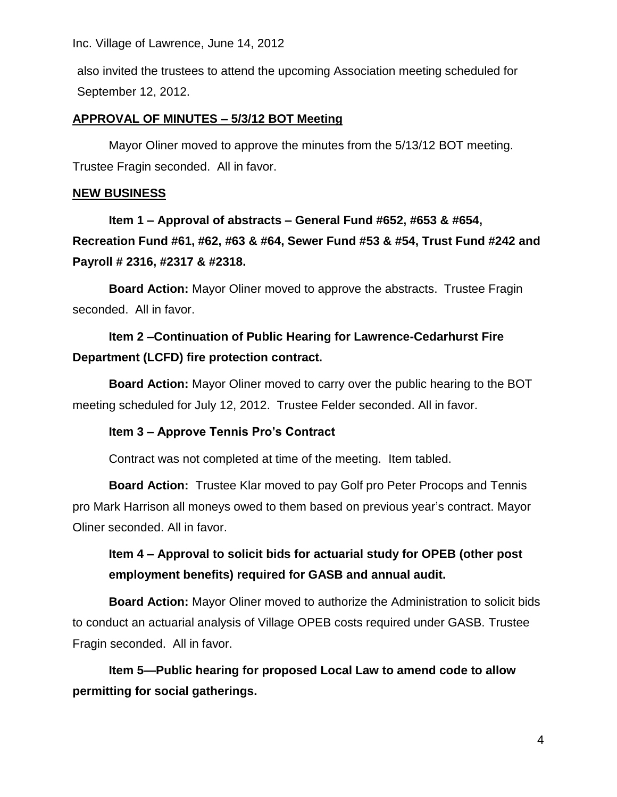also invited the trustees to attend the upcoming Association meeting scheduled for September 12, 2012.

### **APPROVAL OF MINUTES – 5/3/12 BOT Meeting**

Mayor Oliner moved to approve the minutes from the 5/13/12 BOT meeting. Trustee Fragin seconded. All in favor.

#### **NEW BUSINESS**

**Item 1 – Approval of abstracts – General Fund #652, #653 & #654, Recreation Fund #61, #62, #63 & #64, Sewer Fund #53 & #54, Trust Fund #242 and Payroll # 2316, #2317 & #2318.**

**Board Action:** Mayor Oliner moved to approve the abstracts. Trustee Fragin seconded. All in favor.

## **Item 2 –Continuation of Public Hearing for Lawrence-Cedarhurst Fire Department (LCFD) fire protection contract.**

**Board Action:** Mayor Oliner moved to carry over the public hearing to the BOT meeting scheduled for July 12, 2012. Trustee Felder seconded. All in favor.

### **Item 3 – Approve Tennis Pro's Contract**

Contract was not completed at time of the meeting. Item tabled.

**Board Action:** Trustee Klar moved to pay Golf pro Peter Procops and Tennis pro Mark Harrison all moneys owed to them based on previous year's contract. Mayor Oliner seconded. All in favor.

## **Item 4 – Approval to solicit bids for actuarial study for OPEB (other post employment benefits) required for GASB and annual audit.**

**Board Action:** Mayor Oliner moved to authorize the Administration to solicit bids to conduct an actuarial analysis of Village OPEB costs required under GASB. Trustee Fragin seconded. All in favor.

**Item 5—Public hearing for proposed Local Law to amend code to allow permitting for social gatherings.**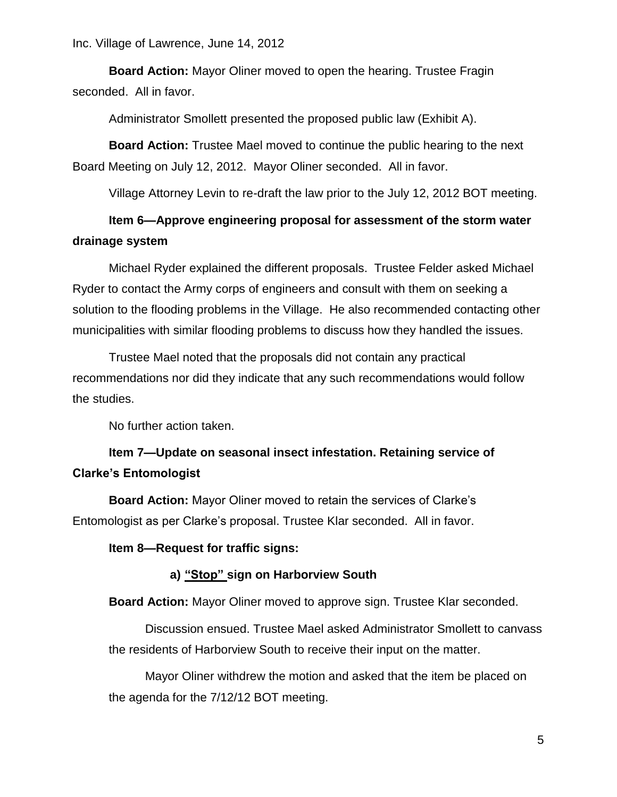**Board Action:** Mayor Oliner moved to open the hearing. Trustee Fragin seconded. All in favor.

Administrator Smollett presented the proposed public law (Exhibit A).

**Board Action:** Trustee Mael moved to continue the public hearing to the next Board Meeting on July 12, 2012. Mayor Oliner seconded. All in favor.

Village Attorney Levin to re-draft the law prior to the July 12, 2012 BOT meeting.

### **Item 6—Approve engineering proposal for assessment of the storm water drainage system**

Michael Ryder explained the different proposals. Trustee Felder asked Michael Ryder to contact the Army corps of engineers and consult with them on seeking a solution to the flooding problems in the Village. He also recommended contacting other municipalities with similar flooding problems to discuss how they handled the issues.

Trustee Mael noted that the proposals did not contain any practical recommendations nor did they indicate that any such recommendations would follow the studies.

No further action taken.

## **Item 7—Update on seasonal insect infestation. Retaining service of Clarke's Entomologist**

**Board Action:** Mayor Oliner moved to retain the services of Clarke's Entomologist as per Clarke's proposal. Trustee Klar seconded. All in favor.

**Item 8—Request for traffic signs:**

### **a) "Stop" sign on Harborview South**

**Board Action:** Mayor Oliner moved to approve sign. Trustee Klar seconded.

Discussion ensued. Trustee Mael asked Administrator Smollett to canvass the residents of Harborview South to receive their input on the matter.

Mayor Oliner withdrew the motion and asked that the item be placed on the agenda for the 7/12/12 BOT meeting.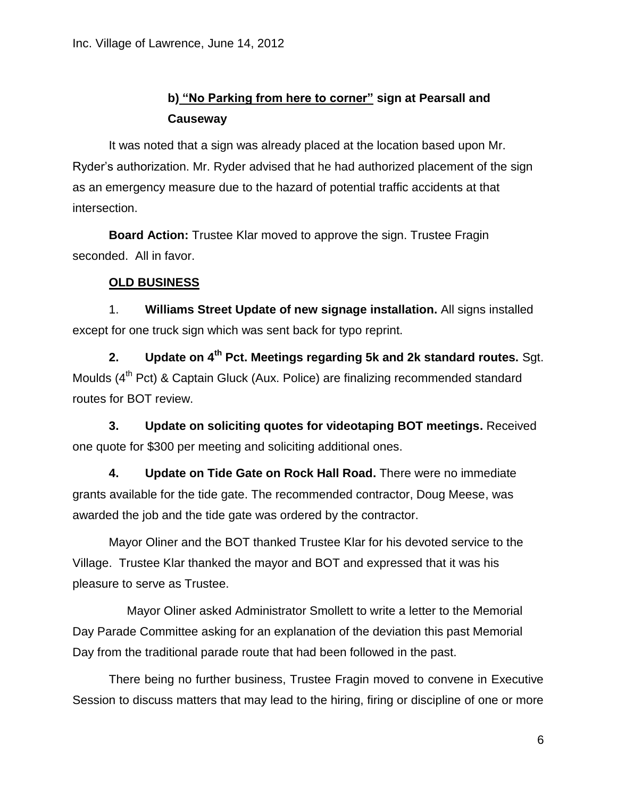# **b) "No Parking from here to corner" sign at Pearsall and Causeway**

It was noted that a sign was already placed at the location based upon Mr. Ryder's authorization. Mr. Ryder advised that he had authorized placement of the sign as an emergency measure due to the hazard of potential traffic accidents at that intersection.

**Board Action:** Trustee Klar moved to approve the sign. Trustee Fragin seconded. All in favor.

### **OLD BUSINESS**

1. **Williams Street Update of new signage installation.** All signs installed except for one truck sign which was sent back for typo reprint.

**2. Update on 4th Pct. Meetings regarding 5k and 2k standard routes.** Sgt. Moulds (4<sup>th</sup> Pct) & Captain Gluck (Aux. Police) are finalizing recommended standard routes for BOT review.

**3. Update on soliciting quotes for videotaping BOT meetings.** Received one quote for \$300 per meeting and soliciting additional ones.

**4. Update on Tide Gate on Rock Hall Road.** There were no immediate grants available for the tide gate. The recommended contractor, Doug Meese, was awarded the job and the tide gate was ordered by the contractor.

Mayor Oliner and the BOT thanked Trustee Klar for his devoted service to the Village. Trustee Klar thanked the mayor and BOT and expressed that it was his pleasure to serve as Trustee.

Mayor Oliner asked Administrator Smollett to write a letter to the Memorial Day Parade Committee asking for an explanation of the deviation this past Memorial Day from the traditional parade route that had been followed in the past.

There being no further business, Trustee Fragin moved to convene in Executive Session to discuss matters that may lead to the hiring, firing or discipline of one or more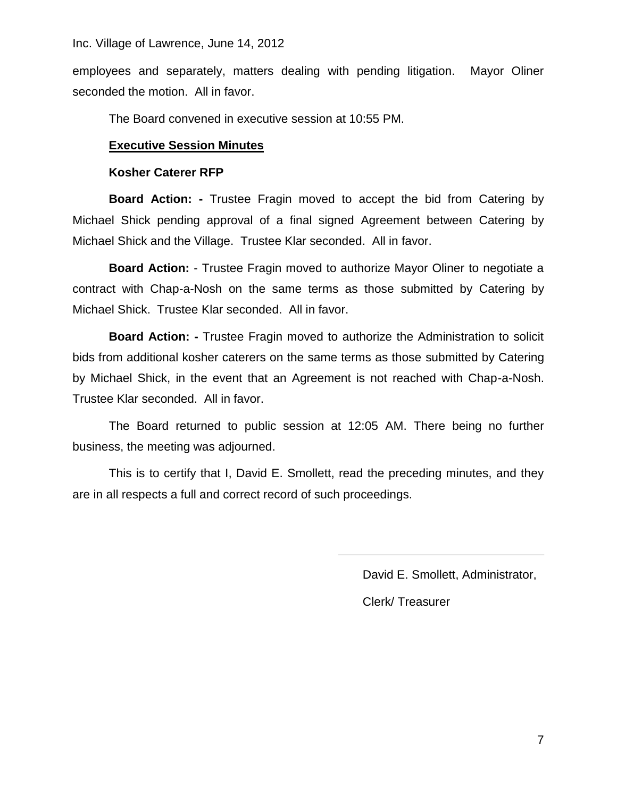employees and separately, matters dealing with pending litigation. Mayor Oliner seconded the motion. All in favor.

The Board convened in executive session at 10:55 PM.

### **Executive Session Minutes**

#### **Kosher Caterer RFP**

**Board Action: -** Trustee Fragin moved to accept the bid from Catering by Michael Shick pending approval of a final signed Agreement between Catering by Michael Shick and the Village. Trustee Klar seconded. All in favor.

**Board Action:** - Trustee Fragin moved to authorize Mayor Oliner to negotiate a contract with Chap-a-Nosh on the same terms as those submitted by Catering by Michael Shick. Trustee Klar seconded. All in favor.

**Board Action: -** Trustee Fragin moved to authorize the Administration to solicit bids from additional kosher caterers on the same terms as those submitted by Catering by Michael Shick, in the event that an Agreement is not reached with Chap-a-Nosh. Trustee Klar seconded. All in favor.

The Board returned to public session at 12:05 AM. There being no further business, the meeting was adjourned.

This is to certify that I, David E. Smollett, read the preceding minutes, and they are in all respects a full and correct record of such proceedings.

David E. Smollett, Administrator,

Clerk/ Treasurer